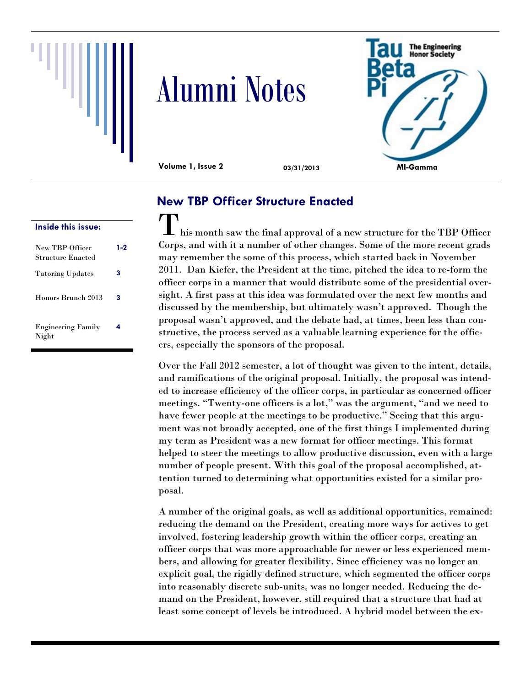





**Volume 1, Issue 2 03/31/2013**

| Inside this issue:                          |     |
|---------------------------------------------|-----|
| New TBP Officer<br><b>Structure Enacted</b> | 1-2 |
| <b>Tutoring Updates</b>                     | 3   |
| Honors Brunch 2013                          | 3   |
| <b>Engineering Family</b><br>Night          | 4   |

# **New TBP Officer Structure Enacted**

 $\blacksquare$  his month saw the final approval of a new structure for the TBP Officer Corps, and with it a number of other changes. Some of the more recent grads may remember the some of this process, which started back in November 2011. Dan Kiefer, the President at the time, pitched the idea to re-form the officer corps in a manner that would distribute some of the presidential oversight. A first pass at this idea was formulated over the next few months and discussed by the membership, but ultimately wasn't approved. Though the proposal wasn't approved, and the debate had, at times, been less than constructive, the process served as a valuable learning experience for the officers, especially the sponsors of the proposal.

Over the Fall 2012 semester, a lot of thought was given to the intent, details, and ramifications of the original proposal. Initially, the proposal was intended to increase efficiency of the officer corps, in particular as concerned officer meetings. "Twenty-one officers is a lot," was the argument, "and we need to have fewer people at the meetings to be productive." Seeing that this argument was not broadly accepted, one of the first things I implemented during my term as President was a new format for officer meetings. This format helped to steer the meetings to allow productive discussion, even with a large number of people present. With this goal of the proposal accomplished, attention turned to determining what opportunities existed for a similar proposal.

A number of the original goals, as well as additional opportunities, remained: reducing the demand on the President, creating more ways for actives to get involved, fostering leadership growth within the officer corps, creating an officer corps that was more approachable for newer or less experienced members, and allowing for greater flexibility. Since efficiency was no longer an explicit goal, the rigidly defined structure, which segmented the officer corps into reasonably discrete sub-units, was no longer needed. Reducing the demand on the President, however, still required that a structure that had at least some concept of levels be introduced. A hybrid model between the ex-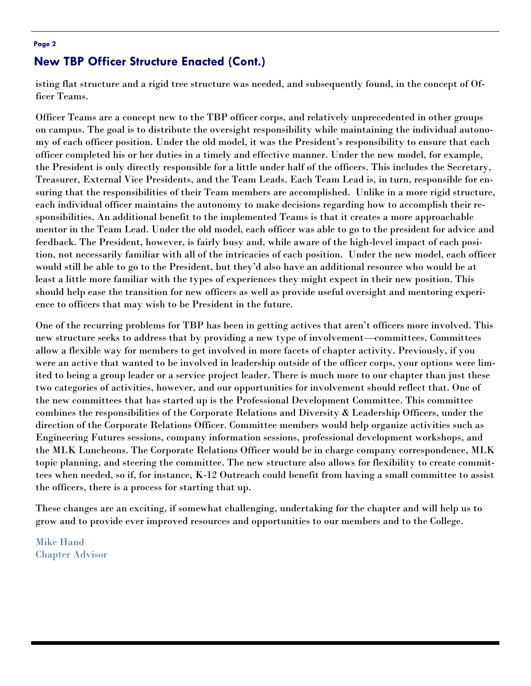#### **Page 2**

#### **New TBP Officer Structure Enacted (Cont.)**

isting flat structure and a rigid tree structure was needed, and subsequently found, in the concept of Officer Teams.

Officer Teams are a concept new to the TBP officer corps, and relatively unprecedented in other groups on campus. The goal is to distribute the oversight responsibility while maintaining the individual autonomy of each officer position. Under the old model, it was the President's responsibility to ensure that each officer completed his or her duties in a timely and effective manner. Under the new model, for example, the President is only directly responsible for a little under half of the officers. This includes the Secretary, Treasurer, External Vice Presidents, and the Team Leads. Each Team Lead is, in turn, responsible for ensuring that the responsibilities of their Team members are accomplished. Unlike in a more rigid structure, each individual officer maintains the autonomy to make decisions regarding how to accomplish their responsibilities. An additional benefit to the implemented Teams is that it creates a more approachable mentor in the Team Lead. Under the old model, each officer was able to go to the president for advice and feedback. The President, however, is fairly busy and, while aware of the high-level impact of each position, not necessarily familiar with all of the intricacies of each position. Under the new model, each officer would still be able to go to the President, but they'd also have an additional resource who would be at least a little more familiar with the types of experiences they might expect in their new position. This should help ease the transition for new officers as well as provide useful oversight and mentoring experience to officers that may wish to be President in the future.

One of the recurring problems for TBP has been in getting actives that aren't officers more involved. This new structure seeks to address that by providing a new type of involvement—committees. Committees allow a flexible way for members to get involved in more facets of chapter activity. Previously, if you were an active that wanted to be involved in leadership outside of the officer corps, your options were limited to being a group leader or a service project leader. There is much more to our chapter than just these two categories of activities, however, and our opportunities for involvement should reflect that. One of the new committees that has started up is the Professional Development Committee. This committee combines the responsibilities of the Corporate Relations and Diversity & Leadership Officers, under the direction of the Corporate Relations Officer. Committee members would help organize activities such as Engineering Futures sessions, company information sessions, professional development workshops, and the MLK Luncheons. The Corporate Relations Officer would be in charge company correspondence, MLK topic planning, and steering the committee. The new structure also allows for flexibility to create committees when needed, so if, for instance, K-12 Outreach could benefit from having a small committee to assist the officers, there is a process for starting that up.

These changes are an exciting, if somewhat challenging, undertaking for the chapter and will help us to grow and to provide ever improved resources and opportunities to our members and to the College.

Mike Hand Chapter Advisor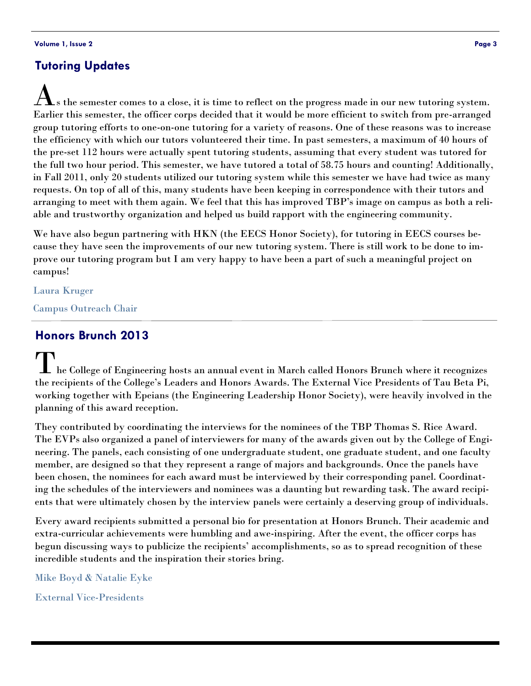### **Tutoring Updates**

.s the semester comes to a close, it is time to reflect on the progress made in our new tutoring system. Earlier this semester, the officer corps decided that it would be more efficient to switch from pre-arranged group tutoring efforts to one-on-one tutoring for a variety of reasons. One of these reasons was to increase the efficiency with which our tutors volunteered their time. In past semesters, a maximum of 40 hours of the pre-set 112 hours were actually spent tutoring students, assuming that every student was tutored for the full two hour period. This semester, we have tutored a total of 58.75 hours and counting! Additionally, in Fall 2011, only 20 students utilized our tutoring system while this semester we have had twice as many requests. On top of all of this, many students have been keeping in correspondence with their tutors and arranging to meet with them again. We feel that this has improved TBP's image on campus as both a reliable and trustworthy organization and helped us build rapport with the engineering community.

We have also begun partnering with HKN (the EECS Honor Society), for tutoring in EECS courses because they have seen the improvements of our new tutoring system. There is still work to be done to improve our tutoring program but I am very happy to have been a part of such a meaningful project on campus!

Laura Kruger

Campus Outreach Chair

#### **Honors Brunch 2013**

The College of Engineering hosts an annual event in March called Honors Brunch where it recognizes the recipients of the College's Leaders and Honors Awards. The External Vice Presidents of Tau Beta Pi, working together with Epeians (the Engineering Leadership Honor Society), were heavily involved in the planning of this award reception.

They contributed by coordinating the interviews for the nominees of the TBP Thomas S. Rice Award. The EVPs also organized a panel of interviewers for many of the awards given out by the College of Engineering. The panels, each consisting of one undergraduate student, one graduate student, and one faculty member, are designed so that they represent a range of majors and backgrounds. Once the panels have been chosen, the nominees for each award must be interviewed by their corresponding panel. Coordinating the schedules of the interviewers and nominees was a daunting but rewarding task. The award recipients that were ultimately chosen by the interview panels were certainly a deserving group of individuals.

Every award recipients submitted a personal bio for presentation at Honors Brunch. Their academic and extra-curricular achievements were humbling and awe-inspiring. After the event, the officer corps has begun discussing ways to publicize the recipients' accomplishments, so as to spread recognition of these incredible students and the inspiration their stories bring.

Mike Boyd & Natalie Eyke

External Vice-Presidents